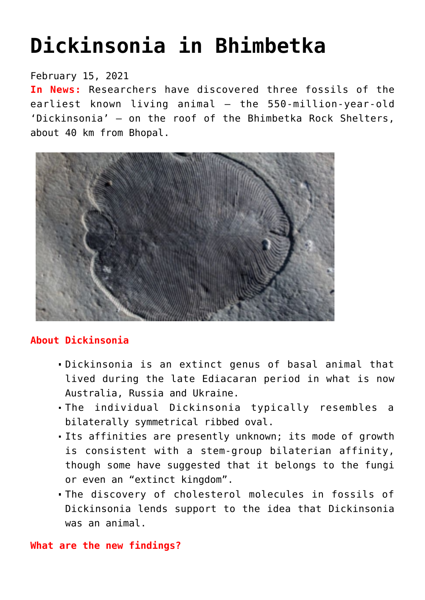# **[Dickinsonia in Bhimbetka](https://journalsofindia.com/dickinsonia-in-bhimbetka/)**

## February 15, 2021

**In News:** Researchers have discovered three fossils of the earliest known living animal — the 550-million-year-old 'Dickinsonia' — on the roof of the Bhimbetka Rock Shelters, about 40 km from Bhopal.



### **About Dickinsonia**

- Dickinsonia is an extinct genus of basal animal that lived during the late Ediacaran period in what is now Australia, Russia and Ukraine.
- The individual Dickinsonia typically resembles a bilaterally symmetrical ribbed oval.
- Its affinities are presently unknown; its mode of growth is consistent with a stem-group bilaterian affinity, though some have suggested that it belongs to the fungi or even an "extinct kingdom".
- The discovery of cholesterol molecules in fossils of Dickinsonia lends support to the idea that Dickinsonia was an animal.

#### **What are the new findings?**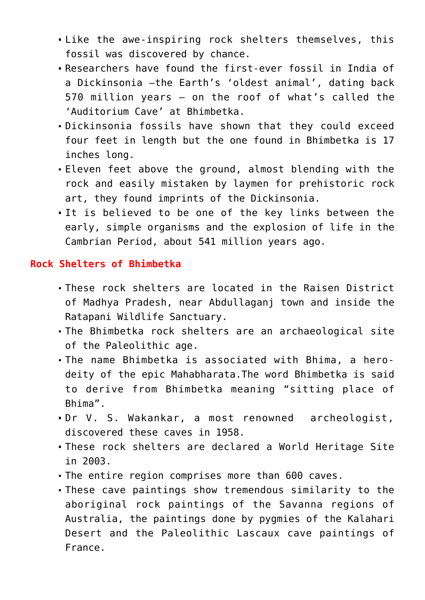- Like the awe-inspiring rock shelters themselves, this fossil was discovered by chance.
- Researchers have found the first-ever fossil in India of a Dickinsonia —the Earth's 'oldest animal', dating back 570 million years — on the roof of what's called the 'Auditorium Cave' at Bhimbetka.
- Dickinsonia fossils have shown that they could exceed four feet in length but the one found in Bhimbetka is 17 inches long.
- Eleven feet above the ground, almost blending with the rock and easily mistaken by laymen for prehistoric rock art, they found imprints of the Dickinsonia.
- It is believed to be one of the key links between the early, simple organisms and the explosion of life in the Cambrian Period, about 541 million years ago.

#### **Rock Shelters of Bhimbetka**

- These rock shelters are located in the Raisen District of Madhya Pradesh, near Abdullaganj town and inside the Ratapani Wildlife Sanctuary.
- The Bhimbetka rock shelters are an archaeological site of the Paleolithic age.
- The name Bhimbetka is associated with Bhima, a herodeity of the epic Mahabharata.The word Bhimbetka is said to derive from Bhimbetka meaning "sitting place of Bhima".
- Dr V. S. Wakankar, a most renowned archeologist, discovered these caves in 1958.
- These rock shelters are declared a World Heritage Site in 2003.
- The entire region comprises more than 600 caves.
- These cave paintings show tremendous similarity to the aboriginal rock paintings of the Savanna regions of Australia, the paintings done by pygmies of the Kalahari Desert and the Paleolithic Lascaux cave paintings of France.